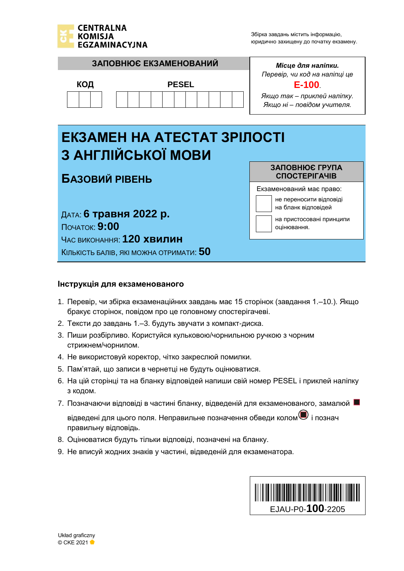

на бланк відповідей

оцінювання.

на пристосовані принципи



ДАТА: **6 травня 2022 p.** ПОЧАТОК: **9:00** ЧАС ВИКОНАННЯ: **120 хвилин** КІЛЬКІСТЬ БАЛІВ, ЯКІ МОЖНА ОТРИМАТИ: **50**

#### **Інструкція для екзаменованого**

- 1. Перевір, чи збірка екзаменаційних завдань має 15 сторінок (завдання 1.–10.). Якщо бракує сторінок, повідом про це головному спостерігачеві.
- 2. Тексти до завдань 1.–3. будуть звучати з компакт-диска.
- 3. Пиши розбірливо. Користуйся кульковою/чорнильною ручкою з чорним стрижнем/чорнилом.
- 4. Не використовуй коректор, чітко закреслюй помилки.
- 5. Пам'ятай, що записи в чернетці не будуть оцінюватися.
- 6. На цій сторінці та на бланку відповідей напиши свій номер PESEL і приклей наліпку з кодом.
- 7. Позначаючи відповіді в частині бланку, відведеній для екзаменованого, замалюй **и**

відведені для цього поля. Неправильне позначення обведи колом $\bullet$  і познач правильну відповідь.

- 8. Оцінюватися будуть тільки відповіді, позначені на бланку.
- 9. Не вписуй жодних знаків у частині, відведеній для екзаменатора.

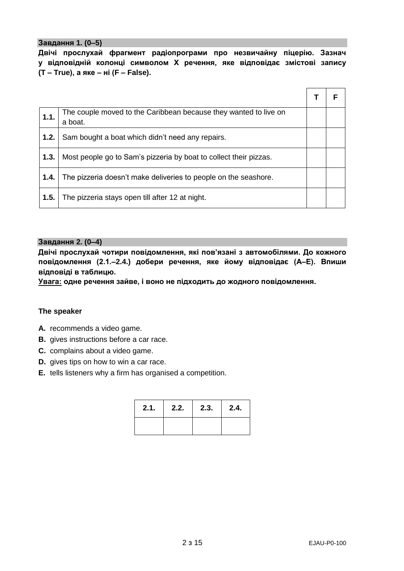#### **Завдання 1. (0–5)**

**Двічі прослухай фрагмент радіопрограми про незвичайну піцерію. Зазнач у відповідній колонці символом Х речення, яке відповідає змістові запису (T – True), а яке – ні (F – False).**

| 1.1. | The couple moved to the Caribbean because they wanted to live on<br>a boat. |  |
|------|-----------------------------------------------------------------------------|--|
| 1.2. | Sam bought a boat which didn't need any repairs.                            |  |
| 1.3. | Most people go to Sam's pizzeria by boat to collect their pizzas.           |  |
| 1.4. | The pizzeria doesn't make deliveries to people on the seashore.             |  |
| 1.5. | The pizzeria stays open till after 12 at night.                             |  |

#### **Завдання 2. (0–4)**

**Двічі прослухай чотири повідомлення, які пов'язані з автомобілями. До кожного повідомлення (2.1.–2.4.) добери речення, яке йому відповідає (А–Е). Впиши відповіді в таблицю.**

**Увага: одне речення зайве, і воно не підходить до жодного повідомлення.**

#### **The speaker**

- **A.** recommends a video game.
- **B.** gives instructions before a car race.
- **C.** complains about a video game.
- **D.** gives tips on how to win a car race.
- **E.** tells listeners why a firm has organised a competition.

| 2.1. | 2.2. | 2.3. | 2.4. |
|------|------|------|------|
|      |      |      |      |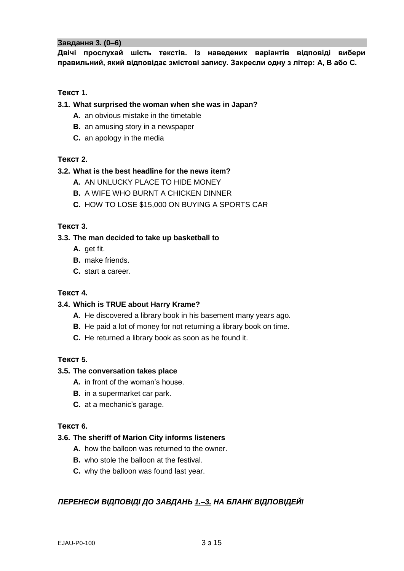#### **Завдання 3. (0–6)**

**Двічі прослухай шість текстів. Із наведених варіантів відповіді вибери правильний, який відповідає змістові запису. Закресли одну з літер: A, B або C.**

# **Tекст 1.**

#### **3.1. What surprised the woman when she was in Japan?**

- **A.** an obvious mistake in the timetable
- **B.** an amusing story in a newspaper
- **C.** an apology in the media

# **Tекст 2.**

# **3.2. What is the best headline for the news item?**

- **A.** AN UNLUCKY PLACE TO HIDE MONEY
- **B.** A WIFE WHO BURNT A CHICKEN DINNER
- **C.** HOW TO LOSE \$15,000 ON BUYING A SPORTS CAR

# **Tекст 3.**

# **3.3. The man decided to take up basketball to**

- **A.** get fit.
- **B.** make friends.
- **C.** start a career.

#### **Tекст 4.**

#### **3.4. Which is TRUE about Harry Krame?**

- **A.** He discovered a library book in his basement many years ago.
- **B.** He paid a lot of money for not returning a library book on time.
- **C.** He returned a library book as soon as he found it.

#### **Tекст 5.**

#### **3.5. The conversation takes place**

- **A.** in front of the woman's house.
- **B.** in a supermarket car park.
- **C.** at a mechanic's garage.

#### **Tекст 6.**

#### **3.6. The sheriff of Marion City informs listeners**

- **A.** how the balloon was returned to the owner.
- **B.** who stole the balloon at the festival.
- **C.** why the balloon was found last year.

# *ПЕРЕНЕСИ ВІДПОВІДІ ДО ЗАВДАНЬ 1.–3. НА БЛАНК ВІДПОВІДЕЙ!*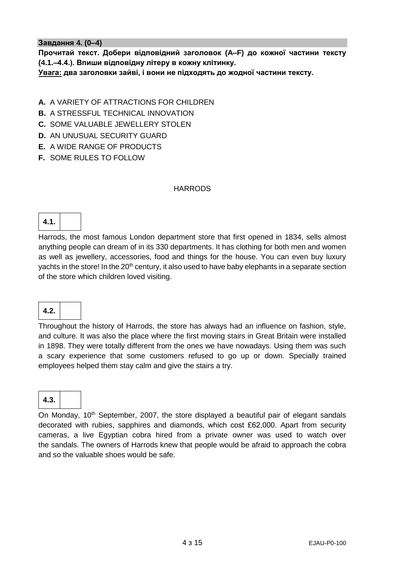#### **Завдання 4. (0–4)**

**Прочитай текст. Добери відповідний заголовок (A–F) до кожної частини тексту (4.1.–4.4.). Впиши відповідну літеру в кожну клітинку.**

**Увага: два заголовки зайві, і вони не підходять до жодної частини тексту.**

# **A.** A VARIETY OF ATTRACTIONS FOR CHILDREN

**B.** A STRESSFUL TECHNICAL INNOVATION

**C.** SOME VALUABLE JEWELLERY STOLEN

- **D.** AN UNUSUAL SECURITY GUARD
- **E.** A WIDE RANGE OF PRODUCTS
- **F.** SOME RULES TO FOLLOW

#### **HARRODS**

# **4.1.**

Harrods, the most famous London department store that first opened in 1834, sells almost anything people can dream of in its 330 departments. It has clothing for both men and women as well as jewellery, accessories, food and things for the house. You can even buy luxury yachts in the store! In the 20<sup>th</sup> century, it also used to have baby elephants in a separate section of the store which children loved visiting.

# **4.2.**

Throughout the history of Harrods, the store has always had an influence on fashion, style, and culture. It was also the place where the first moving stairs in Great Britain were installed in 1898. They were totally different from the ones we have nowadays. Using them was such a scary experience that some customers refused to go up or down. Specially trained employees helped them stay calm and give the stairs a try.

# **4.3.**

On Monday, 10<sup>th</sup> September, 2007, the store displayed a beautiful pair of elegant sandals decorated with rubies, sapphires and diamonds, which cost £62,000. Apart from security cameras, a live Egyptian cobra hired from a private owner was used to watch over the sandals. The owners of Harrods knew that people would be afraid to approach the cobra and so the valuable shoes would be safe.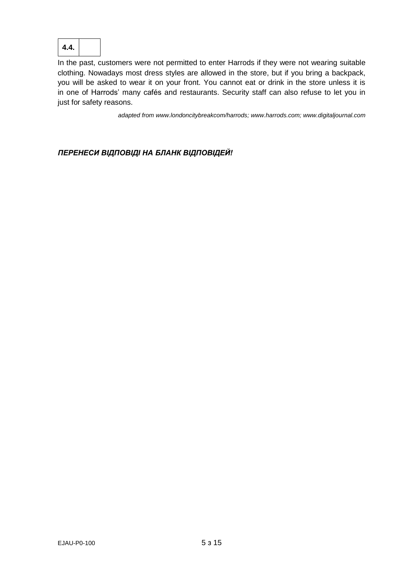

In the past, customers were not permitted to enter Harrods if they were not wearing suitable clothing. Nowadays most dress styles are allowed in the store, but if you bring a backpack, you will be asked to wear it on your front. You cannot eat or drink in the store unless it is in one of Harrods' many cafés and restaurants. Security staff can also refuse to let you in just for safety reasons.

*adapted fro[m www.londoncitybreakcom/harrods;](http://www.londoncitybreakcom/harrods) [www.harrods.com;](http://www.harrods.com/) www.digitaljournal.com*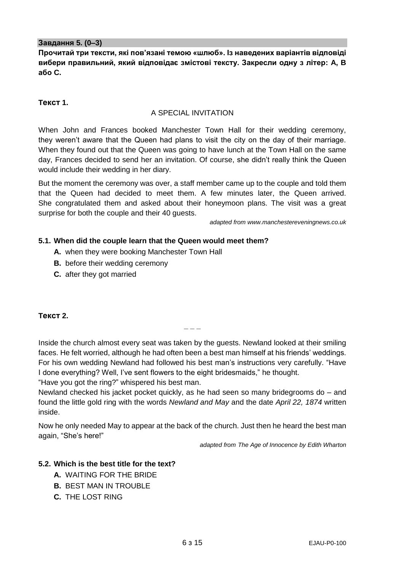#### **Завдання 5. (0–3)**

**Прочитай три тексти, які пов'язані темою «шлюб». Із наведених варіантів відповіді вибери правильний, який відповідає змістові тексту. Закресли одну з літер: A, B або C.**

# **Tекст 1.**

#### A SPECIAL INVITATION

When John and Frances booked Manchester Town Hall for their wedding ceremony, they weren't aware that the Queen had plans to visit the city on the day of their marriage. When they found out that the Queen was going to have lunch at the Town Hall on the same day, Frances decided to send her an invitation. Of course, she didn't really think the Queen would include their wedding in her diary.

But the moment the ceremony was over, a staff member came up to the couple and told them that the Queen had decided to meet them. A few minutes later, the Queen arrived. She congratulated them and asked about their honeymoon plans. The visit was a great surprise for both the couple and their 40 guests.

*adapted fro[m www.manchestereveningnews.co.uk](http://www.manchestereveningnews.co.uk/)*

#### **5.1. When did the couple learn that the Queen would meet them?**

- **A.** when they were booking Manchester Town Hall
- **B.** before their wedding ceremony
- **C.** after they got married

# **Tекст 2.**

Inside the church almost every seat was taken by the guests. Newland looked at their smiling faces. He felt worried, although he had often been a best man himself at his friends' weddings. For his own wedding Newland had followed his best man's instructions very carefully. "Have I done everything? Well, I've sent flowers to the eight bridesmaids," he thought.

**\_ \_ \_**

"Have you got the ring?" whispered his best man.

Newland checked his jacket pocket quickly, as he had seen so many bridegrooms do – and found the little gold ring with the words *Newland and May* and the date *April 22, 1874* written inside.

Now he only needed May to appear at the back of the church. Just then he heard the best man again, "She's here!"

*adapted from The Age of Innocence by Edith Wharton*

#### **5.2. Which is the best title for the text?**

- **A.** WAITING FOR THE BRIDE
- **B.** BEST MAN IN TROUBLE
- **C.** THE LOST RING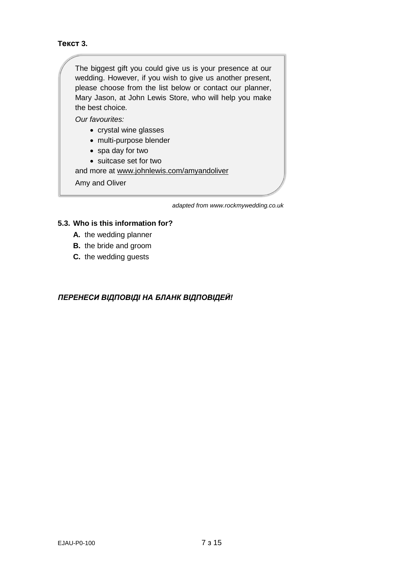# **Tекст 3.**

The biggest gift you could give us is your presence at our wedding. However, if you wish to give us another present, please choose from the list below or contact our planner, Mary Jason, at John Lewis Store, who will help you make the best choice*.*

*Our favourites:*

- crystal wine glasses
- multi-purpose blender
- spa day for two
- suitcase set for two

and more at www.johnlewis.com/amyandoliver

Amy and Oliver

*adapted from www.rockmywedding.co.uk*

#### **5.3. Who is this information for?**

- **A.** the wedding planner
- **B.** the bride and groom
- **C.** the wedding guests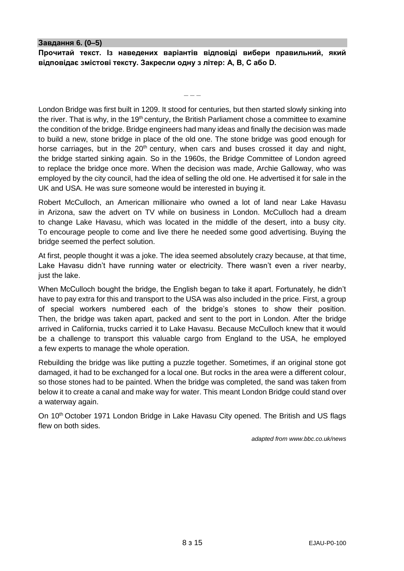#### **Завдання 6. (0–5)**

**Прочитай текст. Із наведених варіантів відповіді вибери правильний, який відповідає змістові тексту. Закресли одну з літер: A, B, C або D.**

**\_ \_ \_**

London Bridge was first built in 1209. It stood for centuries, but then started slowly sinking into the river. That is why, in the 19<sup>th</sup> century, the British Parliament chose a committee to examine the condition of the bridge. Bridge engineers had many ideas and finally the decision was made to build a new, stone bridge in place of the old one. The stone bridge was good enough for horse carriages, but in the  $20<sup>th</sup>$  century, when cars and buses crossed it day and night, the bridge started sinking again. So in the 1960s, the Bridge Committee of London agreed to replace the bridge once more. When the decision was made, Archie Galloway, who was employed by the city council, had the idea of selling the old one. He advertised it for sale in the UK and USA. He was sure someone would be interested in buying it.

Robert McCulloch, an American millionaire who owned a lot of land near Lake Havasu in Arizona, saw the advert on TV while on business in London. McCulloch had a dream to change Lake Havasu, which was located in the middle of the desert, into a busy city. To encourage people to come and live there he needed some good advertising. Buying the bridge seemed the perfect solution.

At first, people thought it was a joke. The idea seemed absolutely crazy because, at that time, Lake Havasu didn't have running water or electricity. There wasn't even a river nearby, just the lake.

When McCulloch bought the bridge, the English began to take it apart. Fortunately, he didn't have to pay extra for this and transport to the USA was also included in the price. First, a group of special workers numbered each of the bridge's stones to show their position. Then, the bridge was taken apart, packed and sent to the port in London. After the bridge arrived in California, trucks carried it to Lake Havasu. Because McCulloch knew that it would be a challenge to transport this valuable cargo from England to the USA, he employed a few experts to manage the whole operation.

Rebuilding the bridge was like putting a puzzle together. Sometimes, if an original stone got damaged, it had to be exchanged for a local one. But rocks in the area were a different colour, so those stones had to be painted. When the bridge was completed, the sand was taken from below it to create a canal and make way for water. This meant London Bridge could stand over a waterway again.

On 10<sup>th</sup> October 1971 London Bridge in Lake Havasu City opened. The British and US flags flew on both sides.

*adapted from [www.bbc.co.uk/news](https://www.bbc.co.uk/news/resources/idt-sh/the_bridge_that_crossed_an_ocean)*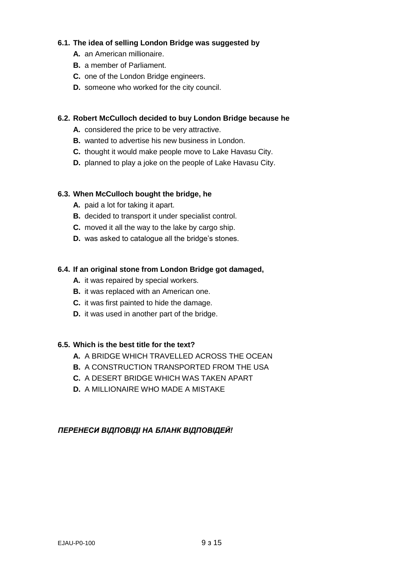# **6.1. The idea of selling London Bridge was suggested by**

- **A.** an American millionaire.
- **B.** a member of Parliament.
- **C.** one of the London Bridge engineers.
- **D.** someone who worked for the city council.

# **6.2. Robert McCulloch decided to buy London Bridge because he**

- **A.** considered the price to be very attractive.
- **B.** wanted to advertise his new business in London.
- **C.** thought it would make people move to Lake Havasu City.
- **D.** planned to play a joke on the people of Lake Havasu City.

# **6.3. When McCulloch bought the bridge, he**

- **A.** paid a lot for taking it apart.
- **B.** decided to transport it under specialist control.
- **C.** moved it all the way to the lake by cargo ship.
- **D.** was asked to catalogue all the bridge's stones.

# **6.4. If an original stone from London Bridge got damaged,**

- **A.** it was repaired by special workers.
- **B.** it was replaced with an American one.
- **C.** it was first painted to hide the damage.
- **D.** it was used in another part of the bridge.

# **6.5. Which is the best title for the text?**

- **A.** A BRIDGE WHICH TRAVELLED ACROSS THE OCEAN
- **B.** A CONSTRUCTION TRANSPORTED FROM THE USA
- **C.** A DESERT BRIDGE WHICH WAS TAKEN APART
- **D.** A MILLIONAIRE WHO MADE A MISTAKE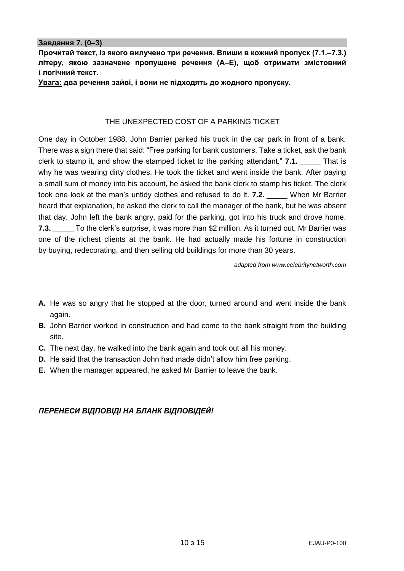#### **Завдання 7. (0–3)**

**Прочитай текст, із якого вилучено три речення. Впиши в кожний пропуск (7.1.–7.3.) літеру, якою зазначене пропущене речення (А–Е), щоб отримати змістовний і логічний текст.**

**Увага: два речення зайві, і вони не підходять до жодного пропуску.**

#### THE UNEXPECTED COST OF A PARKING TICKET

One day in October 1988, John Barrier parked his truck in the car park in front of a bank. There was a sign there that said: "Free parking for bank customers. Take a ticket, ask the bank clerk to stamp it, and show the stamped ticket to the parking attendant." **7.1.** That is why he was wearing dirty clothes. He took the ticket and went inside the bank. After paying a small sum of money into his account, he asked the bank clerk to stamp his ticket. The clerk took one look at the man's untidy clothes and refused to do it. **7.2.** \_\_\_\_\_ When Mr Barrier heard that explanation, he asked the clerk to call the manager of the bank, but he was absent that day. John left the bank angry, paid for the parking, got into his truck and drove home. **7.3.** To the clerk's surprise, it was more than \$2 million. As it turned out, Mr Barrier was one of the richest clients at the bank. He had actually made his fortune in construction by buying, redecorating, and then selling old buildings for more than 30 years.

*adapted fro[m www.celebritynetworth.com](http://www.celebritynetworth.com/)*

- **A.** He was so angry that he stopped at the door, turned around and went inside the bank again.
- **B.** John Barrier worked in construction and had come to the bank straight from the building site.
- **C.** The next day, he walked into the bank again and took out all his money.
- **D.** He said that the transaction John had made didn't allow him free parking.
- **E.** When the manager appeared, he asked Mr Barrier to leave the bank.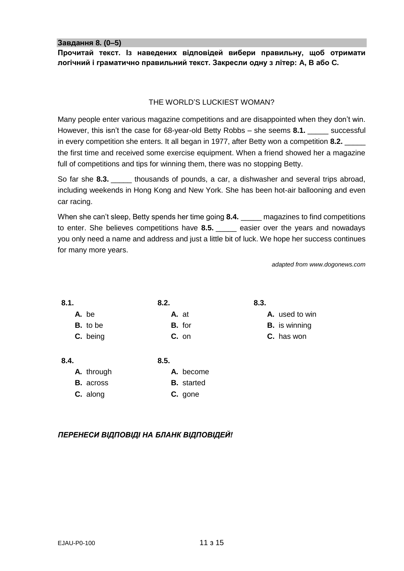**Завдання 8. (0–5)**

**Прочитай текст. Із наведених відповідей вибери правильну, щоб отримати логічний і граматично правильний текст. Закресли одну з літер: A, B або C.**

# THE WORLD'S LUCKIEST WOMAN?

Many people enter various magazine competitions and are disappointed when they don't win. However, this isn't the case for 68-year-old Betty Robbs – she seems **8.1.** \_\_\_\_\_ successful in every competition she enters. It all began in 1977, after Betty won a competition **8.2.** \_\_\_\_\_ the first time and received some exercise equipment. When a friend showed her a magazine full of competitions and tips for winning them, there was no stopping Betty.

So far she **8.3.** \_\_\_\_\_ thousands of pounds, a car, a dishwasher and several trips abroad, including weekends in Hong Kong and New York. She has been hot-air ballooning and even car racing.

When she can't sleep, Betty spends her time going **8.4.** \_\_\_\_\_\_ magazines to find competitions to enter. She believes competitions have **8.5.** easier over the years and nowadays you only need a name and address and just a little bit of luck. We hope her success continues for many more years.

**8.3.**

**A.** used to win **B.** is winning **C.** has won

*adapted from www.dogonews.com*

| 8.1. |  |  |
|------|--|--|
|      |  |  |
|      |  |  |

- **A.** be **B.** to be
- **C.** being
- 

**8.5.**

**A.** at **B.** for **C.** on

**8.2.**

**8.4. A.** through

**B.** across

- 
- **A.** become **B.** started
- **C.** along
- **C.** gone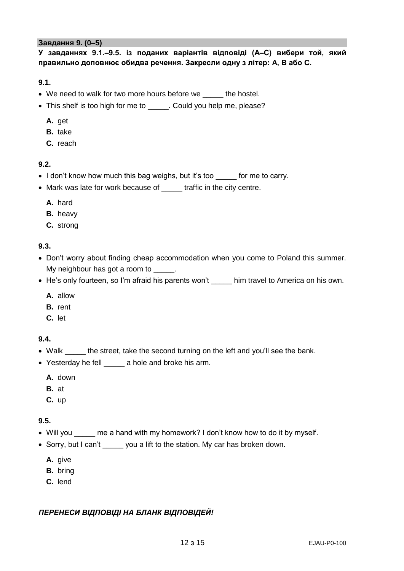#### **Завдання 9. (0–5)**

**У завданнях 9.1.–9.5. із поданих варіантів відповіді (А–С) вибери той, який правильно доповнює обидва речення. Закресли одну з літер: A, B або C.**

**9.1.**

- We need to walk for two more hours before we the hostel.
- This shelf is too high for me to \_\_\_\_\_. Could you help me, please?
	- **A.** get
	- **B.** take
	- **C.** reach

# **9.2.**

- I don't know how much this bag weighs, but it's too for me to carry.
- Mark was late for work because of \_\_\_\_\_ traffic in the city centre.
	- **A.** hard
	- **B.** heavy
	- **C.** strong

# **9.3.**

- Don't worry about finding cheap accommodation when you come to Poland this summer. My neighbour has got a room to \_\_\_\_\_.
- He's only fourteen, so I'm afraid his parents won't him travel to America on his own.
	- **A.** allow
	- **B.** rent
	- **C.** let
- **9.4.**
- Walk \_\_\_\_\_ the street, take the second turning on the left and you'll see the bank.
- Yesterday he fell \_\_\_\_\_ a hole and broke his arm.
	- **A.** down
	- **B.** at
	- **C.** up

# **9.5.**

- Will you me a hand with my homework? I don't know how to do it by myself.
- Sorry, but I can't you a lift to the station. My car has broken down.
	- **A.** give
	- **B.** bring
	- **C.** lend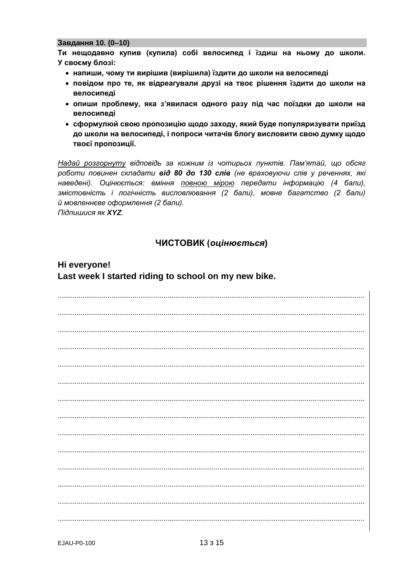#### Завдання 10. (0-10)

Ти нещодавно купив (купила) собі велосипед і їздиш на ньому до школи. У своєму блозі:

- напиши, чому ти вирішив (вирішила) їздити до школи на велосипеді
- повідом про те, як відреагували друзі на твоє рішення їздити до школи на велосипеді
- опиши проблему, яка з'явилася одного разу під час поїздки до школи на велосипеді
- сформулюй свою пропозицію щодо заходу, який буде популяризувати приїзд до школи на велосипеді, і попроси читачів блогу висловити свою думку щодо твоєї пропозиції.

Надай розгорнуту відповідь за кожним із чотирьох пунктів. Пам'ятай, що обсяг роботи повинен складати від 80 до 130 слів (не враховуючи слів у реченнях, які наведені). Оцінюється: вміння повною мірою передати інформацію (4 бали), змістовність і логічність висловлювання (2 бали), мовне багатство (2 бали) й мовленнєве оформлення (2 бали). Підпишися як XYZ.

# ЧИСТОВИК (оцінюється)

# Hi everyone! Last week I started riding to school on my new bike.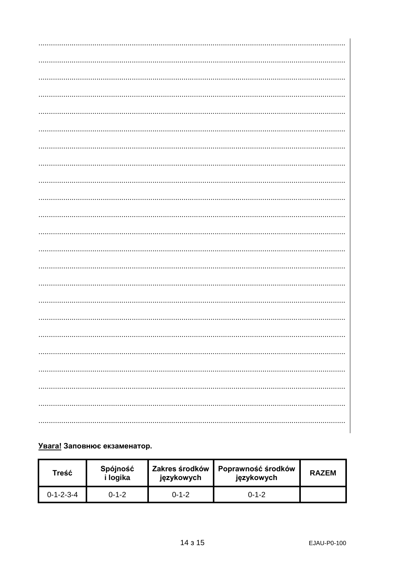# Увага! Заповнює екзаменатор.

| Treść               | Spójność<br>i logika | <b>Zakres środków</b><br>językowych | Poprawność środków<br>językowych | <b>RAZEM</b> |
|---------------------|----------------------|-------------------------------------|----------------------------------|--------------|
| $0 - 1 - 2 - 3 - 4$ | በ-1-2                | $0 - 1 - 2$                         | $0 - 1 - 2$                      |              |